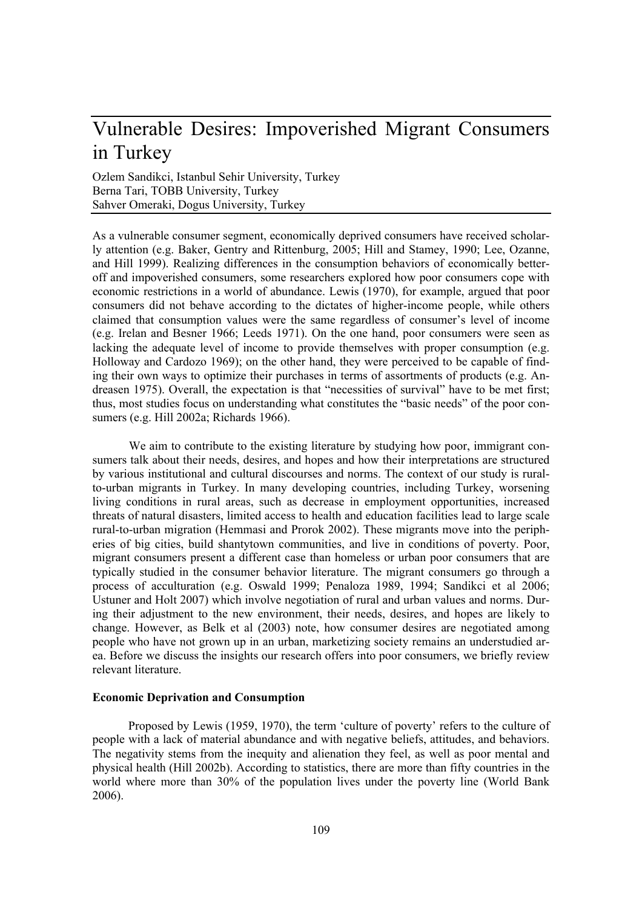# Vulnerable Desires: Impoverished Migrant Consumers in Turkey

Ozlem Sandikci, Istanbul Sehir University, Turkey Berna Tari, TOBB University, Turkey Sahver Omeraki, Dogus University, Turkey

As a vulnerable consumer segment, economically deprived consumers have received scholarly attention (e.g. Baker, Gentry and Rittenburg, 2005; Hill and Stamey, 1990; Lee, Ozanne, and Hill 1999). Realizing differences in the consumption behaviors of economically betteroff and impoverished consumers, some researchers explored how poor consumers cope with economic restrictions in a world of abundance. Lewis (1970), for example, argued that poor consumers did not behave according to the dictates of higher-income people, while others claimed that consumption values were the same regardless of consumer's level of income (e.g. Irelan and Besner 1966; Leeds 1971). On the one hand, poor consumers were seen as lacking the adequate level of income to provide themselves with proper consumption (e.g. Holloway and Cardozo 1969); on the other hand, they were perceived to be capable of finding their own ways to optimize their purchases in terms of assortments of products (e.g. Andreasen 1975). Overall, the expectation is that "necessities of survival" have to be met first; thus, most studies focus on understanding what constitutes the "basic needs" of the poor consumers (e.g. Hill 2002a; Richards 1966).

We aim to contribute to the existing literature by studying how poor, immigrant consumers talk about their needs, desires, and hopes and how their interpretations are structured by various institutional and cultural discourses and norms. The context of our study is ruralto-urban migrants in Turkey. In many developing countries, including Turkey, worsening living conditions in rural areas, such as decrease in employment opportunities, increased threats of natural disasters, limited access to health and education facilities lead to large scale rural-to-urban migration (Hemmasi and Prorok 2002). These migrants move into the peripheries of big cities, build shantytown communities, and live in conditions of poverty. Poor, migrant consumers present a different case than homeless or urban poor consumers that are typically studied in the consumer behavior literature. The migrant consumers go through a process of acculturation (e.g. Oswald 1999; Penaloza 1989, 1994; Sandikci et al 2006; Ustuner and Holt 2007) which involve negotiation of rural and urban values and norms. During their adjustment to the new environment, their needs, desires, and hopes are likely to change. However, as Belk et al (2003) note, how consumer desires are negotiated among people who have not grown up in an urban, marketizing society remains an understudied area. Before we discuss the insights our research offers into poor consumers, we briefly review relevant literature.

# **Economic Deprivation and Consumption**

Proposed by Lewis (1959, 1970), the term 'culture of poverty' refers to the culture of people with a lack of material abundance and with negative beliefs, attitudes, and behaviors. The negativity stems from the inequity and alienation they feel, as well as poor mental and physical health (Hill 2002b). According to statistics, there are more than fifty countries in the world where more than 30% of the population lives under the poverty line (World Bank 2006).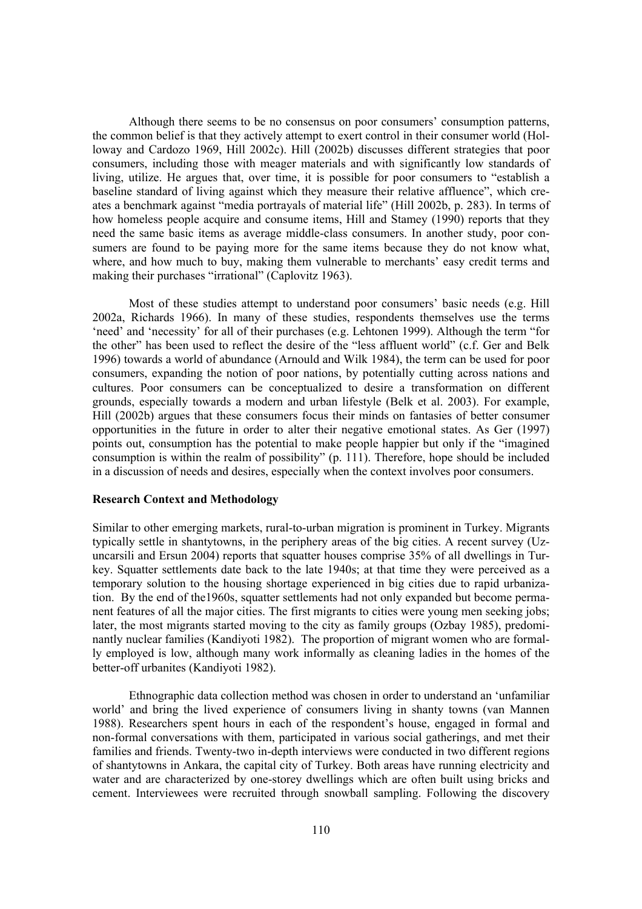Although there seems to be no consensus on poor consumers' consumption patterns, the common belief is that they actively attempt to exert control in their consumer world (Holloway and Cardozo 1969, Hill 2002c). Hill (2002b) discusses different strategies that poor consumers, including those with meager materials and with significantly low standards of living, utilize. He argues that, over time, it is possible for poor consumers to "establish a baseline standard of living against which they measure their relative affluence", which creates a benchmark against "media portrayals of material life" (Hill 2002b, p. 283). In terms of how homeless people acquire and consume items, Hill and Stamey (1990) reports that they need the same basic items as average middle-class consumers. In another study, poor consumers are found to be paying more for the same items because they do not know what, where, and how much to buy, making them vulnerable to merchants' easy credit terms and making their purchases "irrational" (Caplovitz 1963).

Most of these studies attempt to understand poor consumers' basic needs (e.g. Hill 2002a, Richards 1966). In many of these studies, respondents themselves use the terms 'need' and 'necessity' for all of their purchases (e.g. Lehtonen 1999). Although the term "for the other" has been used to reflect the desire of the "less affluent world" (c.f. Ger and Belk 1996) towards a world of abundance (Arnould and Wilk 1984), the term can be used for poor consumers, expanding the notion of poor nations, by potentially cutting across nations and cultures. Poor consumers can be conceptualized to desire a transformation on different grounds, especially towards a modern and urban lifestyle (Belk et al. 2003). For example, Hill (2002b) argues that these consumers focus their minds on fantasies of better consumer opportunities in the future in order to alter their negative emotional states. As Ger (1997) points out, consumption has the potential to make people happier but only if the "imagined consumption is within the realm of possibility" (p. 111). Therefore, hope should be included in a discussion of needs and desires, especially when the context involves poor consumers.

#### **Research Context and Methodology**

Similar to other emerging markets, rural-to-urban migration is prominent in Turkey. Migrants typically settle in shantytowns, in the periphery areas of the big cities. A recent survey (Uzuncarsili and Ersun 2004) reports that squatter houses comprise 35% of all dwellings in Turkey. Squatter settlements date back to the late 1940s; at that time they were perceived as a temporary solution to the housing shortage experienced in big cities due to rapid urbanization. By the end of the1960s, squatter settlements had not only expanded but become permanent features of all the major cities. The first migrants to cities were young men seeking jobs; later, the most migrants started moving to the city as family groups (Ozbay 1985), predominantly nuclear families (Kandiyoti 1982). The proportion of migrant women who are formally employed is low, although many work informally as cleaning ladies in the homes of the better-off urbanites (Kandiyoti 1982).

Ethnographic data collection method was chosen in order to understand an 'unfamiliar world' and bring the lived experience of consumers living in shanty towns (van Mannen 1988). Researchers spent hours in each of the respondent's house, engaged in formal and non-formal conversations with them, participated in various social gatherings, and met their families and friends. Twenty-two in-depth interviews were conducted in two different regions of shantytowns in Ankara, the capital city of Turkey. Both areas have running electricity and water and are characterized by one-storey dwellings which are often built using bricks and cement. Interviewees were recruited through snowball sampling. Following the discovery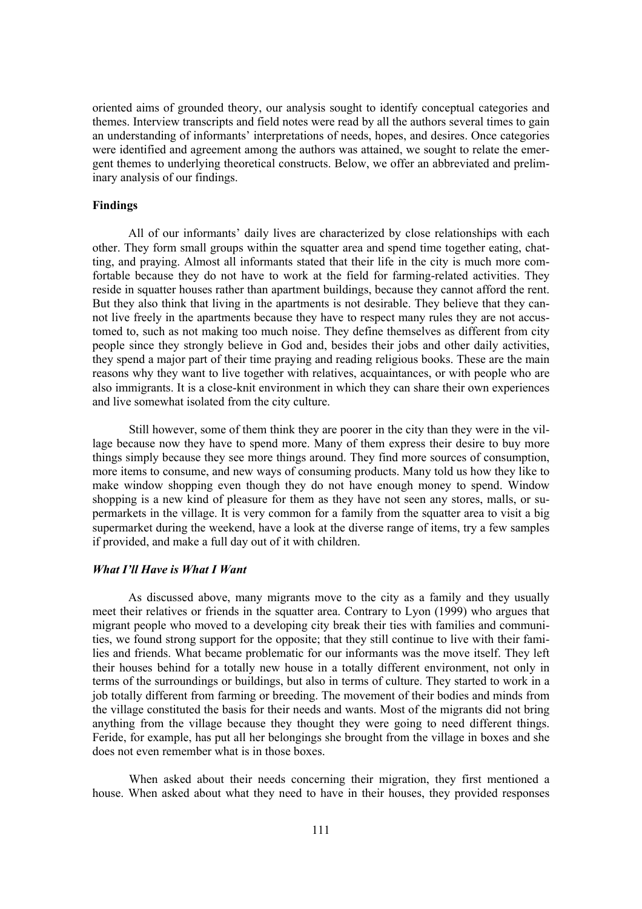oriented aims of grounded theory, our analysis sought to identify conceptual categories and themes. Interview transcripts and field notes were read by all the authors several times to gain an understanding of informants' interpretations of needs, hopes, and desires. Once categories were identified and agreement among the authors was attained, we sought to relate the emergent themes to underlying theoretical constructs. Below, we offer an abbreviated and preliminary analysis of our findings.

## **Findings**

All of our informants' daily lives are characterized by close relationships with each other. They form small groups within the squatter area and spend time together eating, chatting, and praying. Almost all informants stated that their life in the city is much more comfortable because they do not have to work at the field for farming-related activities. They reside in squatter houses rather than apartment buildings, because they cannot afford the rent. But they also think that living in the apartments is not desirable. They believe that they cannot live freely in the apartments because they have to respect many rules they are not accustomed to, such as not making too much noise. They define themselves as different from city people since they strongly believe in God and, besides their jobs and other daily activities, they spend a major part of their time praying and reading religious books. These are the main reasons why they want to live together with relatives, acquaintances, or with people who are also immigrants. It is a close-knit environment in which they can share their own experiences and live somewhat isolated from the city culture.

Still however, some of them think they are poorer in the city than they were in the village because now they have to spend more. Many of them express their desire to buy more things simply because they see more things around. They find more sources of consumption, more items to consume, and new ways of consuming products. Many told us how they like to make window shopping even though they do not have enough money to spend. Window shopping is a new kind of pleasure for them as they have not seen any stores, malls, or supermarkets in the village. It is very common for a family from the squatter area to visit a big supermarket during the weekend, have a look at the diverse range of items, try a few samples if provided, and make a full day out of it with children.

#### *What I'll Have is What I Want*

As discussed above, many migrants move to the city as a family and they usually meet their relatives or friends in the squatter area. Contrary to Lyon (1999) who argues that migrant people who moved to a developing city break their ties with families and communities, we found strong support for the opposite; that they still continue to live with their families and friends. What became problematic for our informants was the move itself. They left their houses behind for a totally new house in a totally different environment, not only in terms of the surroundings or buildings, but also in terms of culture. They started to work in a job totally different from farming or breeding. The movement of their bodies and minds from the village constituted the basis for their needs and wants. Most of the migrants did not bring anything from the village because they thought they were going to need different things. Feride, for example, has put all her belongings she brought from the village in boxes and she does not even remember what is in those boxes.

When asked about their needs concerning their migration, they first mentioned a house. When asked about what they need to have in their houses, they provided responses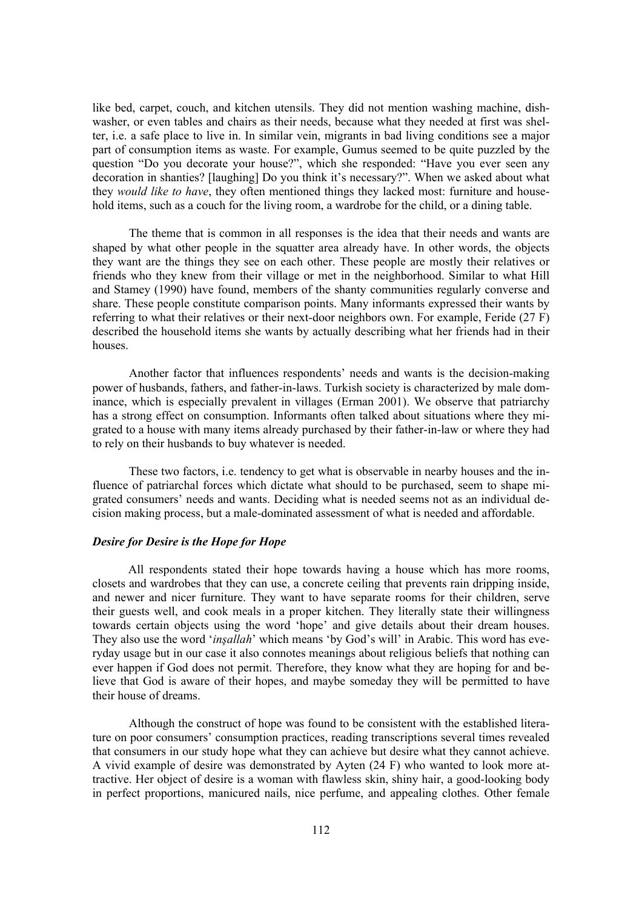like bed, carpet, couch, and kitchen utensils. They did not mention washing machine, dishwasher, or even tables and chairs as their needs, because what they needed at first was shelter, i.e. a safe place to live in. In similar vein, migrants in bad living conditions see a major part of consumption items as waste. For example, Gumus seemed to be quite puzzled by the question "Do you decorate your house?", which she responded: "Have you ever seen any decoration in shanties? [laughing] Do you think it's necessary?". When we asked about what they *would like to have*, they often mentioned things they lacked most: furniture and household items, such as a couch for the living room, a wardrobe for the child, or a dining table.

The theme that is common in all responses is the idea that their needs and wants are shaped by what other people in the squatter area already have. In other words, the objects they want are the things they see on each other. These people are mostly their relatives or friends who they knew from their village or met in the neighborhood. Similar to what Hill and Stamey (1990) have found, members of the shanty communities regularly converse and share. These people constitute comparison points. Many informants expressed their wants by referring to what their relatives or their next-door neighbors own. For example, Feride (27 F) described the household items she wants by actually describing what her friends had in their houses.

Another factor that influences respondents' needs and wants is the decision-making power of husbands, fathers, and father-in-laws. Turkish society is characterized by male dominance, which is especially prevalent in villages (Erman 2001). We observe that patriarchy has a strong effect on consumption. Informants often talked about situations where they migrated to a house with many items already purchased by their father-in-law or where they had to rely on their husbands to buy whatever is needed.

These two factors, i.e. tendency to get what is observable in nearby houses and the influence of patriarchal forces which dictate what should to be purchased, seem to shape migrated consumers' needs and wants. Deciding what is needed seems not as an individual decision making process, but a male-dominated assessment of what is needed and affordable.

## *Desire for Desire is the Hope for Hope*

All respondents stated their hope towards having a house which has more rooms, closets and wardrobes that they can use, a concrete ceiling that prevents rain dripping inside, and newer and nicer furniture. They want to have separate rooms for their children, serve their guests well, and cook meals in a proper kitchen. They literally state their willingness towards certain objects using the word 'hope' and give details about their dream houses. They also use the word '*inşallah*' which means 'by God's will' in Arabic. This word has everyday usage but in our case it also connotes meanings about religious beliefs that nothing can ever happen if God does not permit. Therefore, they know what they are hoping for and believe that God is aware of their hopes, and maybe someday they will be permitted to have their house of dreams.

Although the construct of hope was found to be consistent with the established literature on poor consumers' consumption practices, reading transcriptions several times revealed that consumers in our study hope what they can achieve but desire what they cannot achieve. A vivid example of desire was demonstrated by Ayten (24 F) who wanted to look more attractive. Her object of desire is a woman with flawless skin, shiny hair, a good-looking body in perfect proportions, manicured nails, nice perfume, and appealing clothes. Other female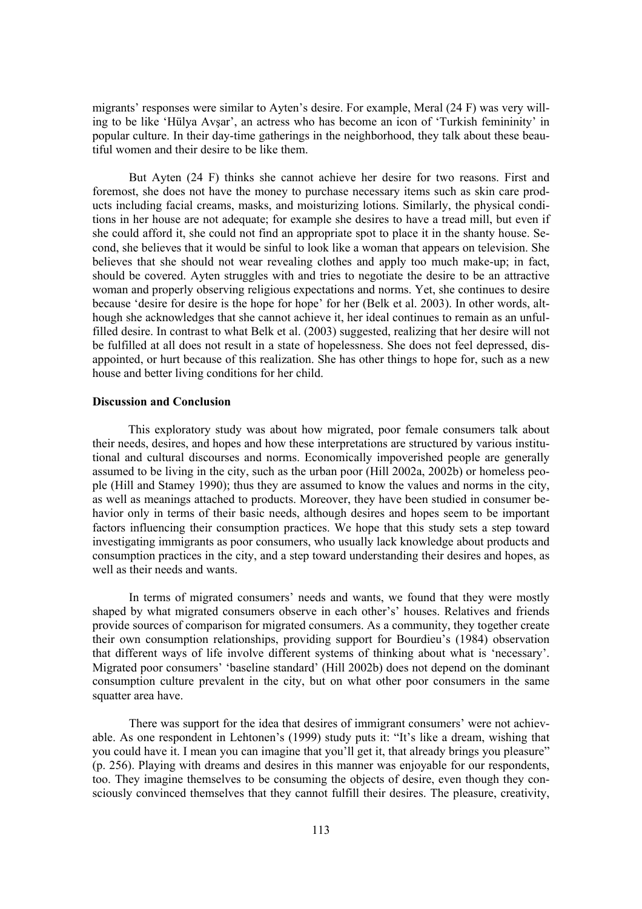migrants' responses were similar to Ayten's desire. For example, Meral (24 F) was very willing to be like 'Hülya Avşar', an actress who has become an icon of 'Turkish femininity' in popular culture. In their day-time gatherings in the neighborhood, they talk about these beautiful women and their desire to be like them.

But Ayten (24 F) thinks she cannot achieve her desire for two reasons. First and foremost, she does not have the money to purchase necessary items such as skin care products including facial creams, masks, and moisturizing lotions. Similarly, the physical conditions in her house are not adequate; for example she desires to have a tread mill, but even if she could afford it, she could not find an appropriate spot to place it in the shanty house. Second, she believes that it would be sinful to look like a woman that appears on television. She believes that she should not wear revealing clothes and apply too much make-up; in fact, should be covered. Ayten struggles with and tries to negotiate the desire to be an attractive woman and properly observing religious expectations and norms. Yet, she continues to desire because 'desire for desire is the hope for hope' for her (Belk et al. 2003). In other words, although she acknowledges that she cannot achieve it, her ideal continues to remain as an unfulfilled desire. In contrast to what Belk et al. (2003) suggested, realizing that her desire will not be fulfilled at all does not result in a state of hopelessness. She does not feel depressed, disappointed, or hurt because of this realization. She has other things to hope for, such as a new house and better living conditions for her child.

## **Discussion and Conclusion**

This exploratory study was about how migrated, poor female consumers talk about their needs, desires, and hopes and how these interpretations are structured by various institutional and cultural discourses and norms. Economically impoverished people are generally assumed to be living in the city, such as the urban poor (Hill 2002a, 2002b) or homeless people (Hill and Stamey 1990); thus they are assumed to know the values and norms in the city, as well as meanings attached to products. Moreover, they have been studied in consumer behavior only in terms of their basic needs, although desires and hopes seem to be important factors influencing their consumption practices. We hope that this study sets a step toward investigating immigrants as poor consumers, who usually lack knowledge about products and consumption practices in the city, and a step toward understanding their desires and hopes, as well as their needs and wants.

In terms of migrated consumers' needs and wants, we found that they were mostly shaped by what migrated consumers observe in each other's' houses. Relatives and friends provide sources of comparison for migrated consumers. As a community, they together create their own consumption relationships, providing support for Bourdieu's (1984) observation that different ways of life involve different systems of thinking about what is 'necessary'. Migrated poor consumers' 'baseline standard' (Hill 2002b) does not depend on the dominant consumption culture prevalent in the city, but on what other poor consumers in the same squatter area have.

There was support for the idea that desires of immigrant consumers' were not achievable. As one respondent in Lehtonen's (1999) study puts it: "It's like a dream, wishing that you could have it. I mean you can imagine that you'll get it, that already brings you pleasure" (p. 256). Playing with dreams and desires in this manner was enjoyable for our respondents, too. They imagine themselves to be consuming the objects of desire, even though they consciously convinced themselves that they cannot fulfill their desires. The pleasure, creativity,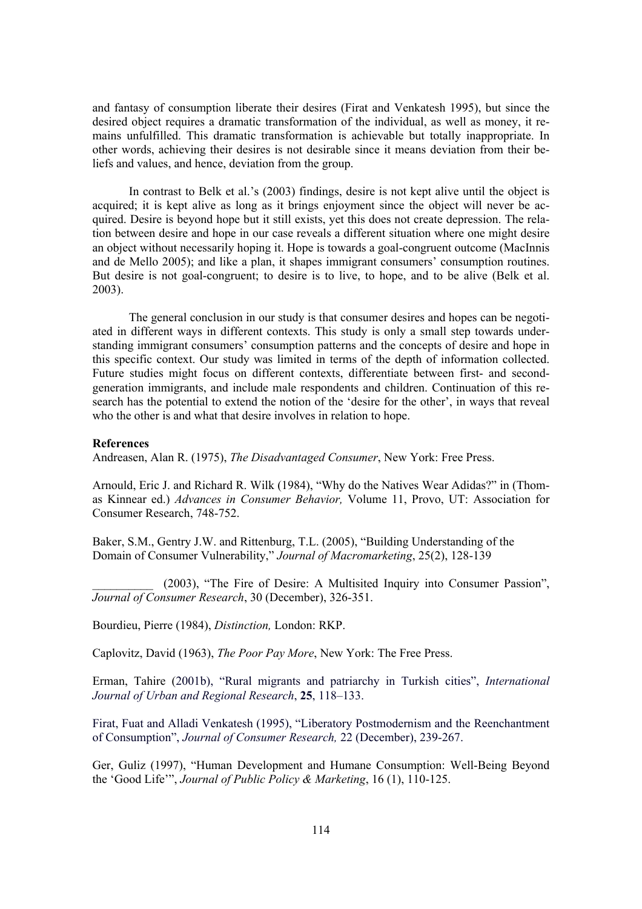and fantasy of consumption liberate their desires (Firat and Venkatesh 1995), but since the desired object requires a dramatic transformation of the individual, as well as money, it remains unfulfilled. This dramatic transformation is achievable but totally inappropriate. In other words, achieving their desires is not desirable since it means deviation from their beliefs and values, and hence, deviation from the group.

In contrast to Belk et al.'s (2003) findings, desire is not kept alive until the object is acquired; it is kept alive as long as it brings enjoyment since the object will never be acquired. Desire is beyond hope but it still exists, yet this does not create depression. The relation between desire and hope in our case reveals a different situation where one might desire an object without necessarily hoping it. Hope is towards a goal-congruent outcome (MacInnis and de Mello 2005); and like a plan, it shapes immigrant consumers' consumption routines. But desire is not goal-congruent; to desire is to live, to hope, and to be alive (Belk et al. 2003).

The general conclusion in our study is that consumer desires and hopes can be negotiated in different ways in different contexts. This study is only a small step towards understanding immigrant consumers' consumption patterns and the concepts of desire and hope in this specific context. Our study was limited in terms of the depth of information collected. Future studies might focus on different contexts, differentiate between first- and secondgeneration immigrants, and include male respondents and children. Continuation of this research has the potential to extend the notion of the 'desire for the other', in ways that reveal who the other is and what that desire involves in relation to hope.

#### **References**

Andreasen, Alan R. (1975), *The Disadvantaged Consumer*, New York: Free Press.

Arnould, Eric J. and Richard R. Wilk (1984), "Why do the Natives Wear Adidas?" in (Thomas Kinnear ed.) *Advances in Consumer Behavior,* Volume 11, Provo, UT: Association for Consumer Research, 748-752.

Baker, S.M., Gentry J.W. and Rittenburg, T.L. (2005), "Building Understanding of the Domain of Consumer Vulnerability," *Journal of Macromarketing*, 25(2), 128-139

(2003), "The Fire of Desire: A Multisited Inquiry into Consumer Passion", *Journal of Consumer Research*, 30 (December), 326-351.

Bourdieu, Pierre (1984), *Distinction,* London: RKP.

Caplovitz, David (1963), *The Poor Pay More*, New York: The Free Press.

Erman, Tahire (2001b), "Rural migrants and patriarchy in Turkish cities", *International Journal of Urban and Regional Research*, **25**, 118–133.

Firat, Fuat and Alladi Venkatesh (1995), "Liberatory Postmodernism and the Reenchantment of Consumption", *Journal of Consumer Research,* 22 (December), 239-267.

Ger, Guliz (1997), "Human Development and Humane Consumption: Well-Being Beyond the 'Good Life'", *Journal of Public Policy & Marketing*, 16 (1), 110-125.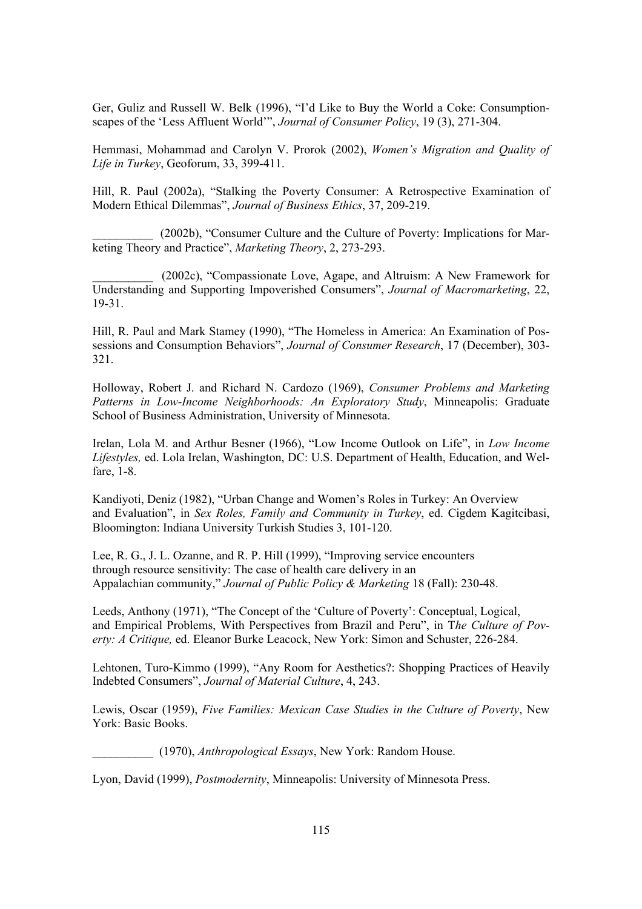Ger, Guliz and Russell W. Belk (1996), "I'd Like to Buy the World a Coke: Consumptionscapes of the 'Less Affluent World'", *Journal of Consumer Policy*, 19 (3), 271-304.

Hemmasi, Mohammad and Carolyn V. Prorok (2002), *Women's Migration and Quality of Life in Turkey*, Geoforum, 33, 399-411.

Hill, R. Paul (2002a), "Stalking the Poverty Consumer: A Retrospective Examination of Modern Ethical Dilemmas", *Journal of Business Ethics*, 37, 209-219.

(2002b), "Consumer Culture and the Culture of Poverty: Implications for Marketing Theory and Practice", *Marketing Theory*, 2, 273-293.

\_\_\_\_\_\_\_\_\_\_ (2002c), "Compassionate Love, Agape, and Altruism: A New Framework for Understanding and Supporting Impoverished Consumers", *Journal of Macromarketing*, 22, 19-31.

Hill, R. Paul and Mark Stamey (1990), "The Homeless in America: An Examination of Possessions and Consumption Behaviors", *Journal of Consumer Research*, 17 (December), 303- 321.

Holloway, Robert J. and Richard N. Cardozo (1969), *Consumer Problems and Marketing Patterns in Low-Income Neighborhoods: An Exploratory Study*, Minneapolis: Graduate School of Business Administration, University of Minnesota.

Irelan, Lola M. and Arthur Besner (1966), "Low Income Outlook on Life", in *Low Income Lifestyles,* ed. Lola Irelan, Washington, DC: U.S. Department of Health, Education, and Welfare, 1-8.

Kandiyoti, Deniz (1982), "Urban Change and Women's Roles in Turkey: An Overview and Evaluation", in *Sex Roles, Family and Community in Turkey*, ed. Cigdem Kagitcibasi, Bloomington: Indiana University Turkish Studies 3, 101-120.

Lee, R. G., J. L. Ozanne, and R. P. Hill (1999), "Improving service encounters through resource sensitivity: The case of health care delivery in an Appalachian community," *Journal of Public Policy & Marketing* 18 (Fall): 230-48.

Leeds, Anthony (1971), "The Concept of the 'Culture of Poverty': Conceptual, Logical, and Empirical Problems, With Perspectives from Brazil and Peru", in T*he Culture of Poverty: A Critique,* ed. Eleanor Burke Leacock, New York: Simon and Schuster, 226-284.

Lehtonen, Turo-Kimmo (1999), "Any Room for Aesthetics?: Shopping Practices of Heavily Indebted Consumers", *Journal of Material Culture*, 4, 243.

Lewis, Oscar (1959), *Five Families: Mexican Case Studies in the Culture of Poverty*, New York: Basic Books.

\_\_\_\_\_\_\_\_\_\_ (1970), *Anthropological Essays*, New York: Random House.

Lyon, David (1999), *Postmodernity*, Minneapolis: University of Minnesota Press.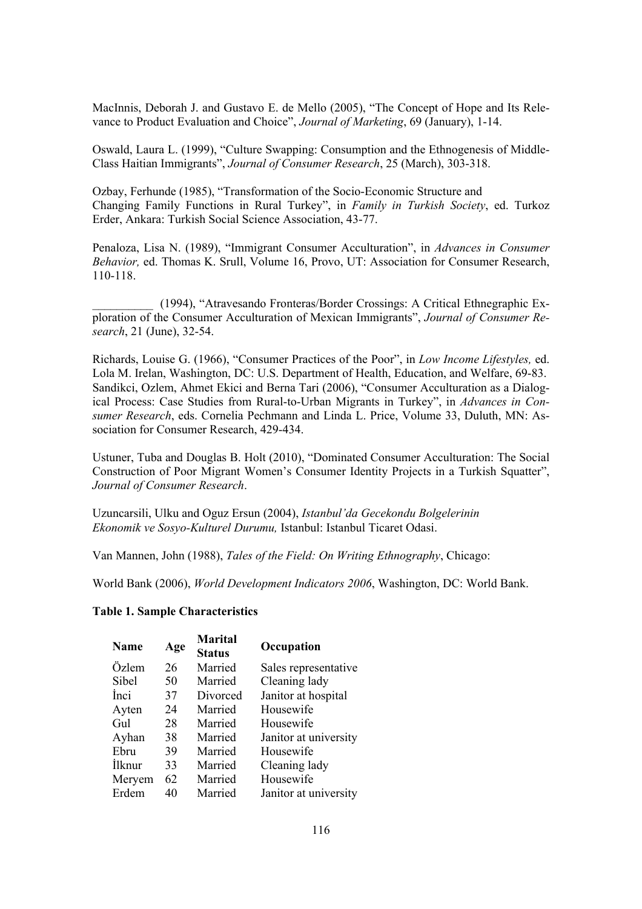MacInnis, Deborah J. and Gustavo E. de Mello (2005), "The Concept of Hope and Its Relevance to Product Evaluation and Choice", *Journal of Marketing*, 69 (January), 1-14.

Oswald, Laura L. (1999), "Culture Swapping: Consumption and the Ethnogenesis of Middle-Class Haitian Immigrants", *Journal of Consumer Research*, 25 (March), 303-318.

Ozbay, Ferhunde (1985), "Transformation of the Socio-Economic Structure and Changing Family Functions in Rural Turkey", in *Family in Turkish Society*, ed. Turkoz Erder, Ankara: Turkish Social Science Association, 43-77.

Penaloza, Lisa N. (1989), "Immigrant Consumer Acculturation", in *Advances in Consumer Behavior,* ed. Thomas K. Srull, Volume 16, Provo, UT: Association for Consumer Research, 110-118.

\_\_\_\_\_\_\_\_\_\_ (1994), "Atravesando Fronteras/Border Crossings: A Critical Ethnegraphic Exploration of the Consumer Acculturation of Mexican Immigrants", *Journal of Consumer Research*, 21 (June), 32-54.

Richards, Louise G. (1966), "Consumer Practices of the Poor", in *Low Income Lifestyles,* ed. Lola M. Irelan, Washington, DC: U.S. Department of Health, Education, and Welfare, 69-83. Sandikci, Ozlem, Ahmet Ekici and Berna Tari (2006), "Consumer Acculturation as a Dialogical Process: Case Studies from Rural-to-Urban Migrants in Turkey", in *Advances in Consumer Research*, eds. Cornelia Pechmann and Linda L. Price, Volume 33, Duluth, MN: Association for Consumer Research, 429-434.

Ustuner, Tuba and Douglas B. Holt (2010), "Dominated Consumer Acculturation: The Social Construction of Poor Migrant Women's Consumer Identity Projects in a Turkish Squatter", *Journal of Consumer Research*.

Uzuncarsili, Ulku and Oguz Ersun (2004), *Istanbul'da Gecekondu Bolgelerinin Ekonomik ve Sosyo-Kulturel Durumu,* Istanbul: Istanbul Ticaret Odasi.

Van Mannen, John (1988), *Tales of the Field: On Writing Ethnography*, Chicago:

World Bank (2006), *World Development Indicators 2006*, Washington, DC: World Bank.

## **Table 1. Sample Characteristics**

| <b>Name</b> | Age | <b>Marital</b><br><b>Status</b> | Occupation            |
|-------------|-----|---------------------------------|-----------------------|
| Özlem       | 26  | Married                         | Sales representative  |
| Sibel       | 50  | Married                         | Cleaning lady         |
| <i>Inci</i> | 37  | Divorced                        | Janitor at hospital   |
| Ayten       | 24  | Married                         | Housewife             |
| Gul         | 28  | Married                         | Housewife             |
| Ayhan       | 38  | Married                         | Janitor at university |
| Ebru        | 39  | Married                         | Housewife             |
| Ilknur      | 33  | Married                         | Cleaning lady         |
| Meryem      | 62  | Married                         | Housewife             |
| Erdem       | 40  | Married                         | Janitor at university |